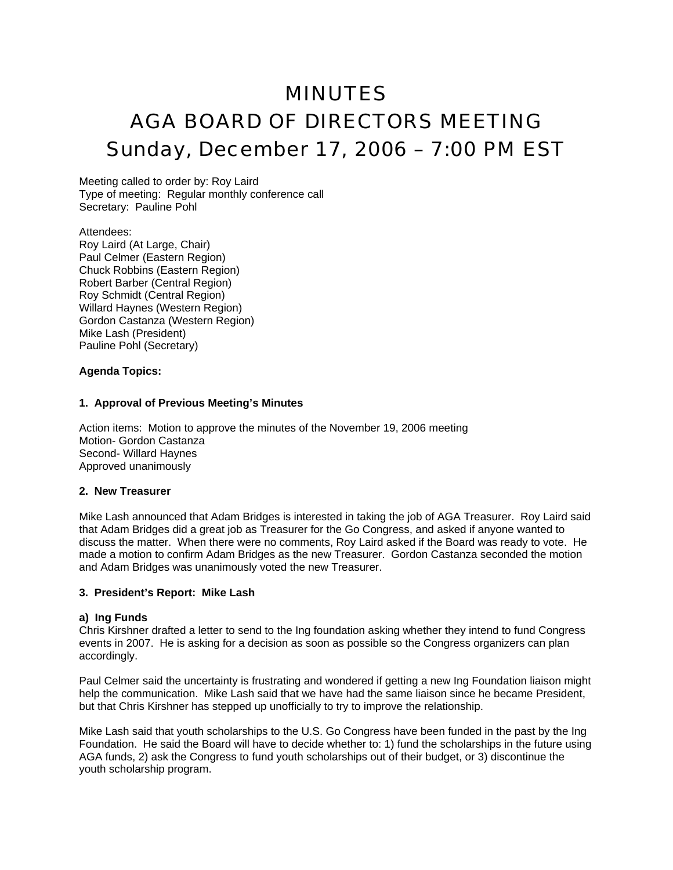# MINUTES AGA BOARD OF DIRECTORS MEETING Sunday, December 17, 2006 – 7:00 PM EST

Meeting called to order by: Roy Laird Type of meeting: Regular monthly conference call Secretary: Pauline Pohl

## Attendees:

Roy Laird (At Large, Chair) Paul Celmer (Eastern Region) Chuck Robbins (Eastern Region) Robert Barber (Central Region) Roy Schmidt (Central Region) Willard Haynes (Western Region) Gordon Castanza (Western Region) Mike Lash (President) Pauline Pohl (Secretary)

## **Agenda Topics:**

## **1. Approval of Previous Meeting's Minutes**

Action items: Motion to approve the minutes of the November 19, 2006 meeting Motion- Gordon Castanza Second- Willard Haynes Approved unanimously

## **2. New Treasurer**

Mike Lash announced that Adam Bridges is interested in taking the job of AGA Treasurer. Roy Laird said that Adam Bridges did a great job as Treasurer for the Go Congress, and asked if anyone wanted to discuss the matter. When there were no comments, Roy Laird asked if the Board was ready to vote. He made a motion to confirm Adam Bridges as the new Treasurer. Gordon Castanza seconded the motion and Adam Bridges was unanimously voted the new Treasurer.

## **3. President's Report: Mike Lash**

## **a) Ing Funds**

Chris Kirshner drafted a letter to send to the Ing foundation asking whether they intend to fund Congress events in 2007. He is asking for a decision as soon as possible so the Congress organizers can plan accordingly.

Paul Celmer said the uncertainty is frustrating and wondered if getting a new Ing Foundation liaison might help the communication. Mike Lash said that we have had the same liaison since he became President, but that Chris Kirshner has stepped up unofficially to try to improve the relationship.

Mike Lash said that youth scholarships to the U.S. Go Congress have been funded in the past by the Ing Foundation. He said the Board will have to decide whether to: 1) fund the scholarships in the future using AGA funds, 2) ask the Congress to fund youth scholarships out of their budget, or 3) discontinue the youth scholarship program.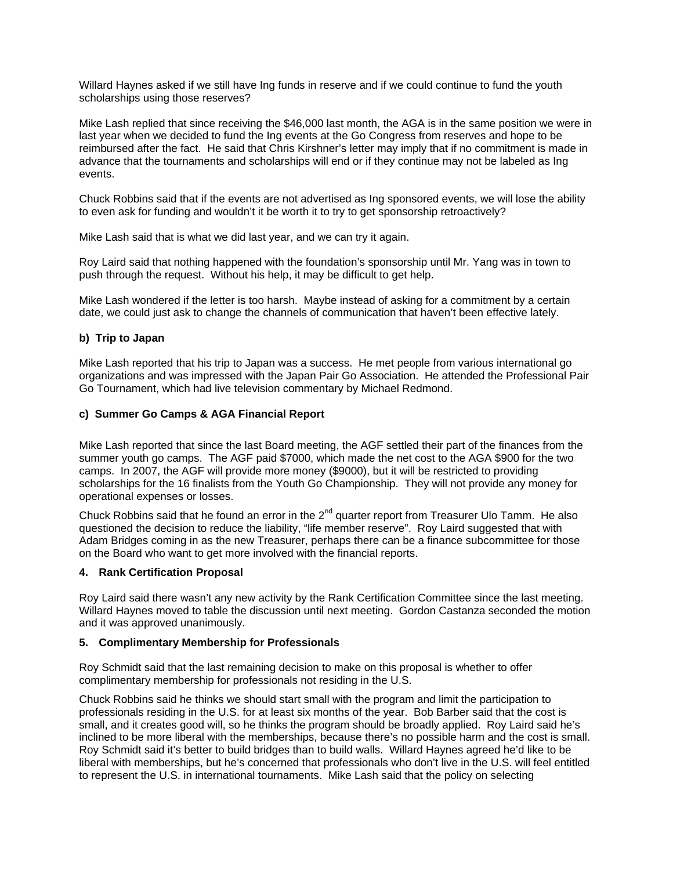Willard Haynes asked if we still have Ing funds in reserve and if we could continue to fund the youth scholarships using those reserves?

Mike Lash replied that since receiving the \$46,000 last month, the AGA is in the same position we were in last year when we decided to fund the Ing events at the Go Congress from reserves and hope to be reimbursed after the fact. He said that Chris Kirshner's letter may imply that if no commitment is made in advance that the tournaments and scholarships will end or if they continue may not be labeled as Ing events.

Chuck Robbins said that if the events are not advertised as Ing sponsored events, we will lose the ability to even ask for funding and wouldn't it be worth it to try to get sponsorship retroactively?

Mike Lash said that is what we did last year, and we can try it again.

Roy Laird said that nothing happened with the foundation's sponsorship until Mr. Yang was in town to push through the request. Without his help, it may be difficult to get help.

Mike Lash wondered if the letter is too harsh. Maybe instead of asking for a commitment by a certain date, we could just ask to change the channels of communication that haven't been effective lately.

## **b) Trip to Japan**

Mike Lash reported that his trip to Japan was a success. He met people from various international go organizations and was impressed with the Japan Pair Go Association. He attended the Professional Pair Go Tournament, which had live television commentary by Michael Redmond.

## **c) Summer Go Camps & AGA Financial Report**

Mike Lash reported that since the last Board meeting, the AGF settled their part of the finances from the summer youth go camps. The AGF paid \$7000, which made the net cost to the AGA \$900 for the two camps. In 2007, the AGF will provide more money (\$9000), but it will be restricted to providing scholarships for the 16 finalists from the Youth Go Championship. They will not provide any money for operational expenses or losses.

Chuck Robbins said that he found an error in the  $2^{nd}$  quarter report from Treasurer Ulo Tamm. He also questioned the decision to reduce the liability, "life member reserve". Roy Laird suggested that with Adam Bridges coming in as the new Treasurer, perhaps there can be a finance subcommittee for those on the Board who want to get more involved with the financial reports.

## **4. Rank Certification Proposal**

Roy Laird said there wasn't any new activity by the Rank Certification Committee since the last meeting. Willard Haynes moved to table the discussion until next meeting. Gordon Castanza seconded the motion and it was approved unanimously.

## **5. Complimentary Membership for Professionals**

Roy Schmidt said that the last remaining decision to make on this proposal is whether to offer complimentary membership for professionals not residing in the U.S.

Chuck Robbins said he thinks we should start small with the program and limit the participation to professionals residing in the U.S. for at least six months of the year. Bob Barber said that the cost is small, and it creates good will, so he thinks the program should be broadly applied. Roy Laird said he's inclined to be more liberal with the memberships, because there's no possible harm and the cost is small. Roy Schmidt said it's better to build bridges than to build walls. Willard Haynes agreed he'd like to be liberal with memberships, but he's concerned that professionals who don't live in the U.S. will feel entitled to represent the U.S. in international tournaments. Mike Lash said that the policy on selecting